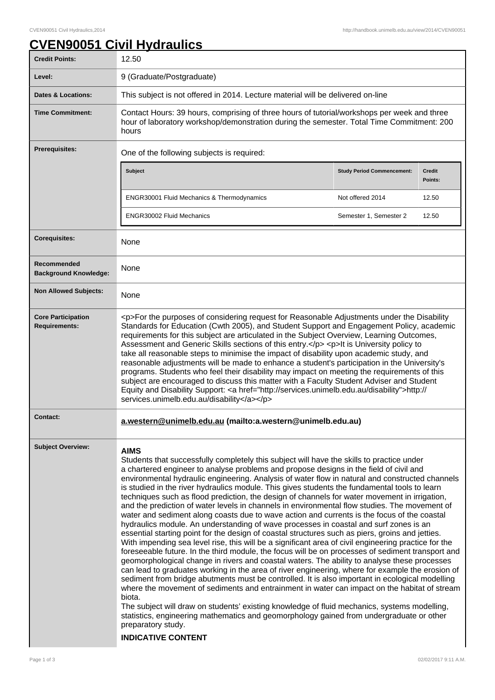## **CVEN90051 Civil Hydraulics**

| <b>Credit Points:</b>                             | 12.50                                                                                                                                                                                                                                                                                                                                                                                                                                                                                                                                                                                                                                                                                                                                                                                                                                                                                                                                                                                                                                                                                                                                                                                                                                                                                                                                                                                                                                                                                                                                                                                                                                                                                                                                                                             |                                   |                          |
|---------------------------------------------------|-----------------------------------------------------------------------------------------------------------------------------------------------------------------------------------------------------------------------------------------------------------------------------------------------------------------------------------------------------------------------------------------------------------------------------------------------------------------------------------------------------------------------------------------------------------------------------------------------------------------------------------------------------------------------------------------------------------------------------------------------------------------------------------------------------------------------------------------------------------------------------------------------------------------------------------------------------------------------------------------------------------------------------------------------------------------------------------------------------------------------------------------------------------------------------------------------------------------------------------------------------------------------------------------------------------------------------------------------------------------------------------------------------------------------------------------------------------------------------------------------------------------------------------------------------------------------------------------------------------------------------------------------------------------------------------------------------------------------------------------------------------------------------------|-----------------------------------|--------------------------|
| Level:                                            | 9 (Graduate/Postgraduate)                                                                                                                                                                                                                                                                                                                                                                                                                                                                                                                                                                                                                                                                                                                                                                                                                                                                                                                                                                                                                                                                                                                                                                                                                                                                                                                                                                                                                                                                                                                                                                                                                                                                                                                                                         |                                   |                          |
| <b>Dates &amp; Locations:</b>                     | This subject is not offered in 2014. Lecture material will be delivered on-line                                                                                                                                                                                                                                                                                                                                                                                                                                                                                                                                                                                                                                                                                                                                                                                                                                                                                                                                                                                                                                                                                                                                                                                                                                                                                                                                                                                                                                                                                                                                                                                                                                                                                                   |                                   |                          |
| <b>Time Commitment:</b>                           | Contact Hours: 39 hours, comprising of three hours of tutorial/workshops per week and three<br>hour of laboratory workshop/demonstration during the semester. Total Time Commitment: 200<br>hours                                                                                                                                                                                                                                                                                                                                                                                                                                                                                                                                                                                                                                                                                                                                                                                                                                                                                                                                                                                                                                                                                                                                                                                                                                                                                                                                                                                                                                                                                                                                                                                 |                                   |                          |
| <b>Prerequisites:</b>                             | One of the following subjects is required:                                                                                                                                                                                                                                                                                                                                                                                                                                                                                                                                                                                                                                                                                                                                                                                                                                                                                                                                                                                                                                                                                                                                                                                                                                                                                                                                                                                                                                                                                                                                                                                                                                                                                                                                        |                                   |                          |
|                                                   | Subject                                                                                                                                                                                                                                                                                                                                                                                                                                                                                                                                                                                                                                                                                                                                                                                                                                                                                                                                                                                                                                                                                                                                                                                                                                                                                                                                                                                                                                                                                                                                                                                                                                                                                                                                                                           | <b>Study Period Commencement:</b> | <b>Credit</b><br>Points: |
|                                                   | ENGR30001 Fluid Mechanics & Thermodynamics                                                                                                                                                                                                                                                                                                                                                                                                                                                                                                                                                                                                                                                                                                                                                                                                                                                                                                                                                                                                                                                                                                                                                                                                                                                                                                                                                                                                                                                                                                                                                                                                                                                                                                                                        | Not offered 2014                  | 12.50                    |
|                                                   | <b>ENGR30002 Fluid Mechanics</b>                                                                                                                                                                                                                                                                                                                                                                                                                                                                                                                                                                                                                                                                                                                                                                                                                                                                                                                                                                                                                                                                                                                                                                                                                                                                                                                                                                                                                                                                                                                                                                                                                                                                                                                                                  | Semester 1, Semester 2            | 12.50                    |
| <b>Corequisites:</b>                              | None                                                                                                                                                                                                                                                                                                                                                                                                                                                                                                                                                                                                                                                                                                                                                                                                                                                                                                                                                                                                                                                                                                                                                                                                                                                                                                                                                                                                                                                                                                                                                                                                                                                                                                                                                                              |                                   |                          |
| Recommended<br><b>Background Knowledge:</b>       | None                                                                                                                                                                                                                                                                                                                                                                                                                                                                                                                                                                                                                                                                                                                                                                                                                                                                                                                                                                                                                                                                                                                                                                                                                                                                                                                                                                                                                                                                                                                                                                                                                                                                                                                                                                              |                                   |                          |
| <b>Non Allowed Subjects:</b>                      | None                                                                                                                                                                                                                                                                                                                                                                                                                                                                                                                                                                                                                                                                                                                                                                                                                                                                                                                                                                                                                                                                                                                                                                                                                                                                                                                                                                                                                                                                                                                                                                                                                                                                                                                                                                              |                                   |                          |
| <b>Core Participation</b><br><b>Requirements:</b> | <p>For the purposes of considering request for Reasonable Adjustments under the Disability<br/>Standards for Education (Cwth 2005), and Student Support and Engagement Policy, academic<br/>requirements for this subject are articulated in the Subject Overview, Learning Outcomes,<br/>Assessment and Generic Skills sections of this entry.</p> <p>lt is University policy to<br/>take all reasonable steps to minimise the impact of disability upon academic study, and<br/>reasonable adjustments will be made to enhance a student's participation in the University's<br/>programs. Students who feel their disability may impact on meeting the requirements of this<br/>subject are encouraged to discuss this matter with a Faculty Student Adviser and Student<br/>Equity and Disability Support: &lt; a href="http://services.unimelb.edu.au/disability"&gt;http://<br/>services.unimelb.edu.au/disability</p>                                                                                                                                                                                                                                                                                                                                                                                                                                                                                                                                                                                                                                                                                                                                                                                                                                                      |                                   |                          |
| <b>Contact:</b>                                   | a.western@unimelb.edu.au (mailto:a.western@unimelb.edu.au)                                                                                                                                                                                                                                                                                                                                                                                                                                                                                                                                                                                                                                                                                                                                                                                                                                                                                                                                                                                                                                                                                                                                                                                                                                                                                                                                                                                                                                                                                                                                                                                                                                                                                                                        |                                   |                          |
| <b>Subject Overview:</b>                          | <b>AIMS</b><br>Students that successfully completely this subject will have the skills to practice under<br>a chartered engineer to analyse problems and propose designs in the field of civil and<br>environmental hydraulic engineering. Analysis of water flow in natural and constructed channels<br>is studied in the river hydraulics module. This gives students the fundamental tools to learn<br>techniques such as flood prediction, the design of channels for water movement in irrigation,<br>and the prediction of water levels in channels in environmental flow studies. The movement of<br>water and sediment along coasts due to wave action and currents is the focus of the coastal<br>hydraulics module. An understanding of wave processes in coastal and surf zones is an<br>essential starting point for the design of coastal structures such as piers, groins and jetties.<br>With impending sea level rise, this will be a significant area of civil engineering practice for the<br>foreseeable future. In the third module, the focus will be on processes of sediment transport and<br>geomorphological change in rivers and coastal waters. The ability to analyse these processes<br>can lead to graduates working in the area of river engineering, where for example the erosion of<br>sediment from bridge abutments must be controlled. It is also important in ecological modelling<br>where the movement of sediments and entrainment in water can impact on the habitat of stream<br>biota.<br>The subject will draw on students' existing knowledge of fluid mechanics, systems modelling,<br>statistics, engineering mathematics and geomorphology gained from undergraduate or other<br>preparatory study.<br><b>INDICATIVE CONTENT</b> |                                   |                          |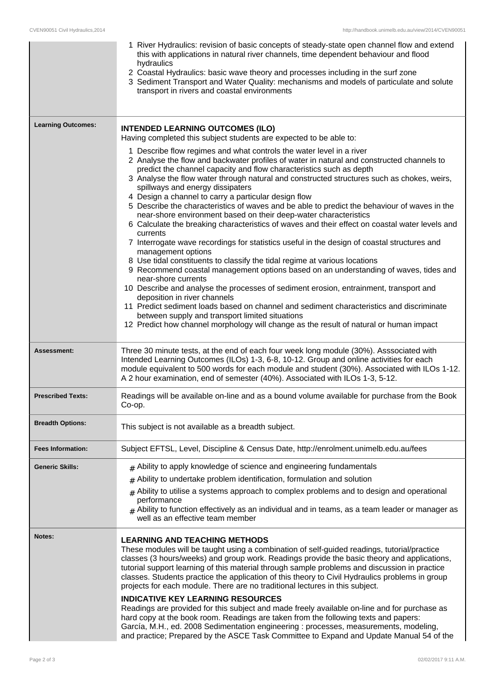|                           | 1 River Hydraulics: revision of basic concepts of steady-state open channel flow and extend<br>this with applications in natural river channels, time dependent behaviour and flood<br>hydraulics<br>2 Coastal Hydraulics: basic wave theory and processes including in the surf zone<br>3 Sediment Transport and Water Quality: mechanisms and models of particulate and solute<br>transport in rivers and coastal environments                                                                                                                                                                                                                                                                                                                                                                                                                                                                                                                                                                                                                                                                                                                                                                                                                                                                                                                                                                         |  |
|---------------------------|----------------------------------------------------------------------------------------------------------------------------------------------------------------------------------------------------------------------------------------------------------------------------------------------------------------------------------------------------------------------------------------------------------------------------------------------------------------------------------------------------------------------------------------------------------------------------------------------------------------------------------------------------------------------------------------------------------------------------------------------------------------------------------------------------------------------------------------------------------------------------------------------------------------------------------------------------------------------------------------------------------------------------------------------------------------------------------------------------------------------------------------------------------------------------------------------------------------------------------------------------------------------------------------------------------------------------------------------------------------------------------------------------------|--|
| <b>Learning Outcomes:</b> | <b>INTENDED LEARNING OUTCOMES (ILO)</b><br>Having completed this subject students are expected to be able to:                                                                                                                                                                                                                                                                                                                                                                                                                                                                                                                                                                                                                                                                                                                                                                                                                                                                                                                                                                                                                                                                                                                                                                                                                                                                                            |  |
|                           | 1 Describe flow regimes and what controls the water level in a river<br>2 Analyse the flow and backwater profiles of water in natural and constructed channels to<br>predict the channel capacity and flow characteristics such as depth<br>3 Analyse the flow water through natural and constructed structures such as chokes, weirs,<br>spillways and energy dissipaters<br>4 Design a channel to carry a particular design flow<br>5 Describe the characteristics of waves and be able to predict the behaviour of waves in the<br>near-shore environment based on their deep-water characteristics<br>6 Calculate the breaking characteristics of waves and their effect on coastal water levels and<br>currents<br>7 Interrogate wave recordings for statistics useful in the design of coastal structures and<br>management options<br>8 Use tidal constituents to classify the tidal regime at various locations<br>9 Recommend coastal management options based on an understanding of waves, tides and<br>near-shore currents<br>10 Describe and analyse the processes of sediment erosion, entrainment, transport and<br>deposition in river channels<br>11 Predict sediment loads based on channel and sediment characteristics and discriminate<br>between supply and transport limited situations<br>12 Predict how channel morphology will change as the result of natural or human impact |  |
| Assessment:               | Three 30 minute tests, at the end of each four week long module (30%). Asssociated with<br>Intended Learning Outcomes (ILOs) 1-3, 6-8, 10-12. Group and online activities for each<br>module equivalent to 500 words for each module and student (30%). Associated with ILOs 1-12.<br>A 2 hour examination, end of semester (40%). Associated with ILOs 1-3, 5-12.                                                                                                                                                                                                                                                                                                                                                                                                                                                                                                                                                                                                                                                                                                                                                                                                                                                                                                                                                                                                                                       |  |
| <b>Prescribed Texts:</b>  | Readings will be available on-line and as a bound volume available for purchase from the Book<br>Co-op.                                                                                                                                                                                                                                                                                                                                                                                                                                                                                                                                                                                                                                                                                                                                                                                                                                                                                                                                                                                                                                                                                                                                                                                                                                                                                                  |  |
| <b>Breadth Options:</b>   | This subject is not available as a breadth subject.                                                                                                                                                                                                                                                                                                                                                                                                                                                                                                                                                                                                                                                                                                                                                                                                                                                                                                                                                                                                                                                                                                                                                                                                                                                                                                                                                      |  |
| <b>Fees Information:</b>  | Subject EFTSL, Level, Discipline & Census Date, http://enrolment.unimelb.edu.au/fees                                                                                                                                                                                                                                                                                                                                                                                                                                                                                                                                                                                                                                                                                                                                                                                                                                                                                                                                                                                                                                                                                                                                                                                                                                                                                                                     |  |
| <b>Generic Skills:</b>    | $_{\text{\#}}$ Ability to apply knowledge of science and engineering fundamentals<br>Ability to undertake problem identification, formulation and solution<br>#<br>Ability to utilise a systems approach to complex problems and to design and operational<br>#<br>performance<br>$#$ Ability to function effectively as an individual and in teams, as a team leader or manager as<br>well as an effective team member                                                                                                                                                                                                                                                                                                                                                                                                                                                                                                                                                                                                                                                                                                                                                                                                                                                                                                                                                                                  |  |
| Notes:                    | <b>LEARNING AND TEACHING METHODS</b><br>These modules will be taught using a combination of self-guided readings, tutorial/practice<br>classes (3 hours/weeks) and group work. Readings provide the basic theory and applications,<br>tutorial support learning of this material through sample problems and discussion in practice<br>classes. Students practice the application of this theory to Civil Hydraulics problems in group<br>projects for each module. There are no traditional lectures in this subject.<br><b>INDICATIVE KEY LEARNING RESOURCES</b><br>Readings are provided for this subject and made freely available on-line and for purchase as<br>hard copy at the book room. Readings are taken from the following texts and papers:<br>García, M.H., ed. 2008 Sedimentation engineering : processes, measurements, modeling,<br>and practice; Prepared by the ASCE Task Committee to Expand and Update Manual 54 of the                                                                                                                                                                                                                                                                                                                                                                                                                                                            |  |